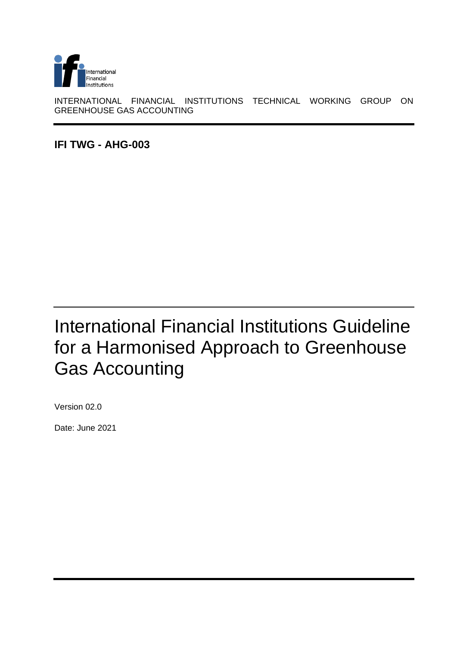

INTERNATIONAL FINANCIAL INSTITUTIONS TECHNICAL WORKING GROUP ON GREENHOUSE GAS ACCOUNTING

<span id="page-0-0"></span>**IFI TWG - AHG-003**

# <span id="page-0-1"></span>International Financial Institutions Guideline for a Harmonised Approach to Greenhouse Gas Accounting

<span id="page-0-3"></span><span id="page-0-2"></span>Version 02.0

Date: June 2021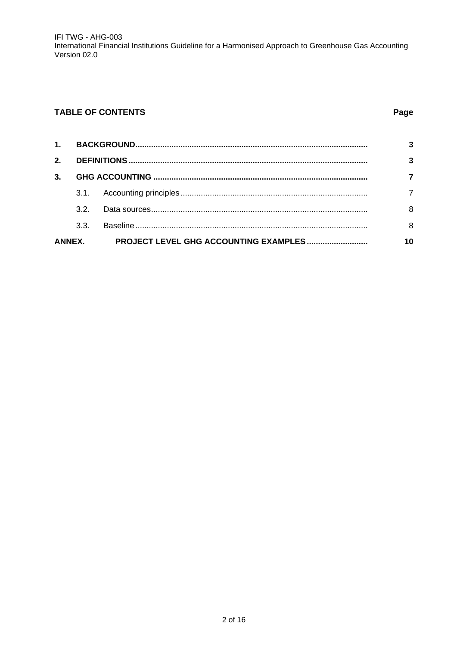#### **TABLE OF CONTENTS**

#### Page

| 1 <sup>1</sup> |                 |  |    |
|----------------|-----------------|--|----|
| $2-$           |                 |  |    |
| $3-$           |                 |  |    |
|                | 3.1.            |  |    |
|                | 32 <sup>o</sup> |  | 8  |
|                | 3.3.            |  | 8  |
| <b>ANNEX.</b>  |                 |  | 10 |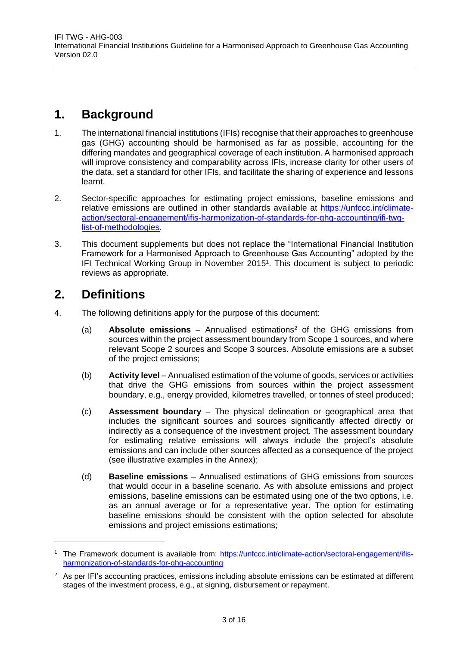### <span id="page-2-0"></span>**1. Background**

- 1. The international financial institutions (IFIs) recognise that their approaches to greenhouse gas (GHG) accounting should be harmonised as far as possible, accounting for the differing mandates and geographical coverage of each institution. A harmonised approach will improve consistency and comparability across IFIs, increase clarity for other users of the data, set a standard for other IFIs, and facilitate the sharing of experience and lessons learnt.
- 2. Sector-specific approaches for estimating project emissions, baseline emissions and relative emissions are outlined in other standards available at [https://unfccc.int/climate](https://unfccc.int/climate-action/sectoral-engagement/ifis-harmonization-of-standards-for-ghg-accounting/ifi-twg-list-of-methodologies)[action/sectoral-engagement/ifis-harmonization-of-standards-for-ghg-accounting/ifi-twg](https://unfccc.int/climate-action/sectoral-engagement/ifis-harmonization-of-standards-for-ghg-accounting/ifi-twg-list-of-methodologies)[list-of-methodologies.](https://unfccc.int/climate-action/sectoral-engagement/ifis-harmonization-of-standards-for-ghg-accounting/ifi-twg-list-of-methodologies)
- 3. This document supplements but does not replace the "International Financial Institution Framework for a Harmonised Approach to Greenhouse Gas Accounting" adopted by the IFI Technical Working Group in November 2015<sup>1</sup>. This document is subject to periodic reviews as appropriate.

### <span id="page-2-1"></span>**2. Definitions**

- 4. The following definitions apply for the purpose of this document:
	- (a) **Absolute emissions** Annualised estimations<sup>2</sup> of the GHG emissions from sources within the project assessment boundary from Scope 1 sources, and where relevant Scope 2 sources and Scope 3 sources. Absolute emissions are a subset of the project emissions;
	- (b) **Activity level** Annualised estimation of the volume of goods, services or activities that drive the GHG emissions from sources within the project assessment boundary, e.g., energy provided, kilometres travelled, or tonnes of steel produced;
	- (c) **Assessment boundary** The physical delineation or geographical area that includes the significant sources and sources significantly affected directly or indirectly as a consequence of the investment project. The assessment boundary for estimating relative emissions will always include the project's absolute emissions and can include other sources affected as a consequence of the project (see illustrative examples in the Annex);
	- (d) **Baseline emissions** Annualised estimations of GHG emissions from sources that would occur in a baseline scenario. As with absolute emissions and project emissions, baseline emissions can be estimated using one of the two options, i.e. as an annual average or for a representative year. The option for estimating baseline emissions should be consistent with the option selected for absolute emissions and project emissions estimations;

<sup>1</sup> The Framework document is available from: [https://unfccc.int/climate-action/sectoral-engagement/ifis](https://unfccc.int/climate-action/sectoral-engagement/ifis-harmonization-of-standards-for-ghg-accounting)[harmonization-of-standards-for-ghg-accounting](https://unfccc.int/climate-action/sectoral-engagement/ifis-harmonization-of-standards-for-ghg-accounting)

 $2$  As per IFI's accounting practices, emissions including absolute emissions can be estimated at different stages of the investment process, e.g., at signing, disbursement or repayment.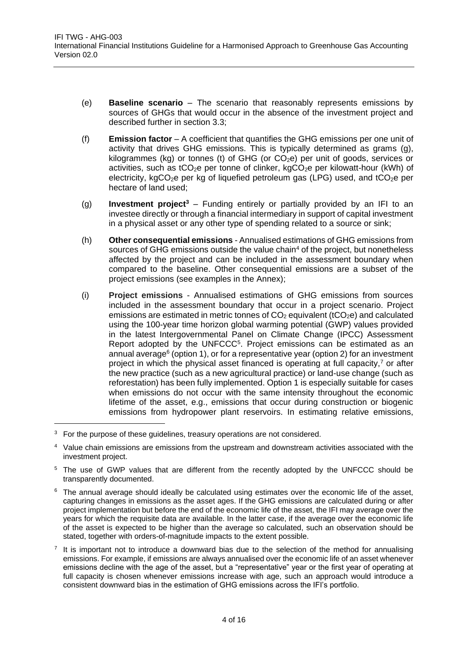- (e) **Baseline scenario** The scenario that reasonably represents emissions by sources of GHGs that would occur in the absence of the investment project and described further in section 3.3;
- (f) **Emission factor** A coefficient that quantifies the GHG emissions per one unit of activity that drives GHG emissions. This is typically determined as grams (g), kilogrammes (kg) or tonnes (t) of GHG (or  $CO<sub>2</sub>e$ ) per unit of goods, services or activities, such as tCO<sub>2</sub>e per tonne of clinker, kgCO<sub>2</sub>e per kilowatt-hour (kWh) of electricity, kgCO<sub>2</sub>e per kg of liquefied petroleum gas (LPG) used, and tCO<sub>2</sub>e per hectare of land used;
- (g) **Investment project<sup>3</sup>** Funding entirely or partially provided by an IFI to an investee directly or through a financial intermediary in support of capital investment in a physical asset or any other type of spending related to a source or sink;
- (h) **Other consequential emissions**  Annualised estimations of GHG emissions from sources of GHG emissions outside the value chain<sup>4</sup> of the project, but nonetheless affected by the project and can be included in the assessment boundary when compared to the baseline. Other consequential emissions are a subset of the project emissions (see examples in the Annex);
- (i) **Project emissions**  Annualised estimations of GHG emissions from sources included in the assessment boundary that occur in a project scenario. Project emissions are estimated in metric tonnes of  $CO<sub>2</sub>$  equivalent (tCO<sub>2</sub>e) and calculated using the 100-year time horizon global warming potential (GWP) values provided in the latest Intergovernmental Panel on Climate Change (IPCC) Assessment Report adopted by the UNFCCC<sup>5</sup>. Project emissions can be estimated as an annual average<sup>6</sup> (option 1), or for a representative year (option 2) for an investment project in which the physical asset financed is operating at full capacity, $\frac{7}{1}$  or after the new practice (such as a new agricultural practice) or land-use change (such as reforestation) has been fully implemented. Option 1 is especially suitable for cases when emissions do not occur with the same intensity throughout the economic lifetime of the asset, e.g., emissions that occur during construction or biogenic emissions from hydropower plant reservoirs. In estimating relative emissions,

<sup>&</sup>lt;sup>3</sup> For the purpose of these guidelines, treasury operations are not considered.

<sup>&</sup>lt;sup>4</sup> Value chain emissions are emissions from the upstream and downstream activities associated with the investment project.

<sup>&</sup>lt;sup>5</sup> The use of GWP values that are different from the recently adopted by the UNFCCC should be transparently documented.

 $6\,$  The annual average should ideally be calculated using estimates over the economic life of the asset, capturing changes in emissions as the asset ages. If the GHG emissions are calculated during or after project implementation but before the end of the economic life of the asset, the IFI may average over the years for which the requisite data are available. In the latter case, if the average over the economic life of the asset is expected to be higher than the average so calculated, such an observation should be stated, together with orders-of-magnitude impacts to the extent possible.

 $<sup>7</sup>$  It is important not to introduce a downward bias due to the selection of the method for annualising</sup> emissions. For example, if emissions are always annualised over the economic life of an asset whenever emissions decline with the age of the asset, but a "representative" year or the first year of operating at full capacity is chosen whenever emissions increase with age, such an approach would introduce a consistent downward bias in the estimation of GHG emissions across the IFI's portfolio.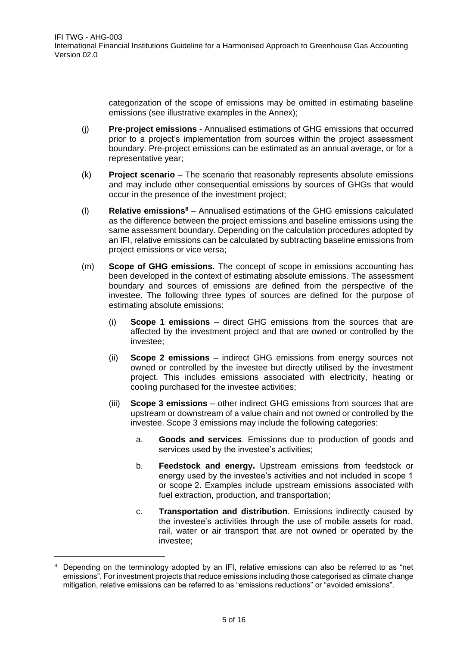categorization of the scope of emissions may be omitted in estimating baseline emissions (see illustrative examples in the Annex);

- (j) **Pre-project emissions** Annualised estimations of GHG emissions that occurred prior to a project's implementation from sources within the project assessment boundary. Pre-project emissions can be estimated as an annual average, or for a representative year;
- (k) **Project scenario** The scenario that reasonably represents absolute emissions and may include other consequential emissions by sources of GHGs that would occur in the presence of the investment project;
- (l) **Relative emissions<sup>8</sup>** Annualised estimations of the GHG emissions calculated as the difference between the project emissions and baseline emissions using the same assessment boundary. Depending on the calculation procedures adopted by an IFI, relative emissions can be calculated by subtracting baseline emissions from project emissions or vice versa;
- (m) **Scope of GHG emissions.** The concept of scope in emissions accounting has been developed in the context of estimating absolute emissions. The assessment boundary and sources of emissions are defined from the perspective of the investee. The following three types of sources are defined for the purpose of estimating absolute emissions:
	- (i) **Scope 1 emissions** direct GHG emissions from the sources that are affected by the investment project and that are owned or controlled by the investee;
	- (ii) **Scope 2 emissions** indirect GHG emissions from energy sources not owned or controlled by the investee but directly utilised by the investment project. This includes emissions associated with electricity, heating or cooling purchased for the investee activities;
	- (iii) **Scope 3 emissions** other indirect GHG emissions from sources that are upstream or downstream of a value chain and not owned or controlled by the investee. Scope 3 emissions may include the following categories:
		- a. **Goods and services**. Emissions due to production of goods and services used by the investee's activities;
		- b. **Feedstock and energy.** Upstream emissions from feedstock or energy used by the investee's activities and not included in scope 1 or scope 2. Examples include upstream emissions associated with fuel extraction, production, and transportation;
		- c. **Transportation and distribution**. Emissions indirectly caused by the investee's activities through the use of mobile assets for road, rail, water or air transport that are not owned or operated by the investee;

Depending on the terminology adopted by an IFI, relative emissions can also be referred to as "net emissions". For investment projects that reduce emissions including those categorised as climate change mitigation, relative emissions can be referred to as "emissions reductions" or "avoided emissions".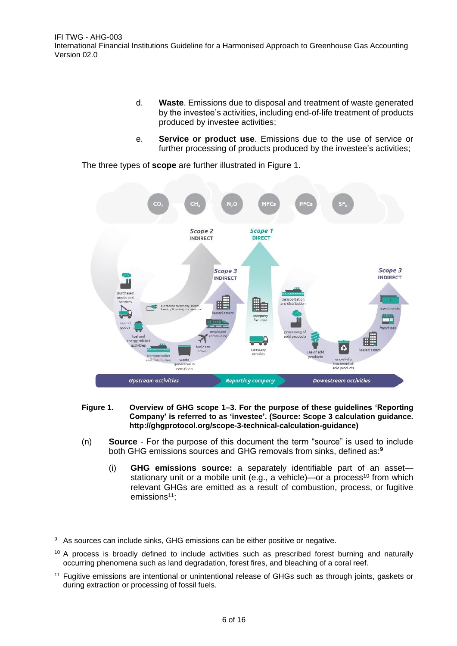- d. **Waste**. Emissions due to disposal and treatment of waste generated by the investee's activities, including end-of-life treatment of products produced by investee activities;
- e. **Service or product use**. Emissions due to the use of service or further processing of products produced by the investee's activities;

The three types of **scope** are further illustrated in [Figure 1.](#page-5-0)



- <span id="page-5-0"></span>**Figure 1. Overview of GHG scope 1–3. For the purpose of these guidelines 'Reporting Company' is referred to as 'investee'. (Source: Scope 3 calculation guidance. [http://ghgprotocol.org/scope-3-technical-calculation-guidance\)](http://ghgprotocol.org/scope-3-technical-calculation-guidance)**
- (n) **Source** For the purpose of this document the term "source" is used to include both GHG emissions sources and GHG removals from sinks, defined as:**<sup>9</sup>**
	- (i) **GHG emissions source:** a separately identifiable part of an asset stationary unit or a mobile unit (e.g., a vehicle)—or a process<sup>10</sup> from which relevant GHGs are emitted as a result of combustion, process, or fugitive emissions<sup>11</sup>;

 $\overline{a}$ 

<sup>&</sup>lt;sup>9</sup> As sources can include sinks, GHG emissions can be either positive or negative.

<sup>&</sup>lt;sup>10</sup> A process is broadly defined to include activities such as prescribed forest burning and naturally occurring phenomena such as land degradation, forest fires, and bleaching of a coral reef.

<sup>&</sup>lt;sup>11</sup> Fugitive emissions are intentional or unintentional release of GHGs such as through joints, gaskets or during extraction or processing of fossil fuels.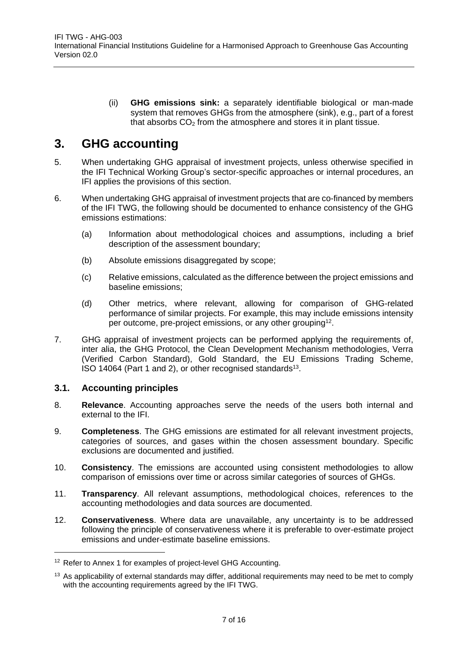(ii) **GHG emissions sink:** a separately identifiable biological or man-made system that removes GHGs from the atmosphere (sink), e.g., part of a forest that absorbs  $CO<sub>2</sub>$  from the atmosphere and stores it in plant tissue.

### <span id="page-6-0"></span>**3. GHG accounting**

- 5. When undertaking GHG appraisal of investment projects, unless otherwise specified in the IFI Technical Working Group's sector-specific approaches or internal procedures, an IFI applies the provisions of this section.
- 6. When undertaking GHG appraisal of investment projects that are co-financed by members of the IFI TWG, the following should be documented to enhance consistency of the GHG emissions estimations:
	- (a) Information about methodological choices and assumptions, including a brief description of the assessment boundary;
	- (b) Absolute emissions disaggregated by scope;
	- (c) Relative emissions, calculated as the difference between the project emissions and baseline emissions;
	- (d) Other metrics, where relevant, allowing for comparison of GHG-related performance of similar projects. For example, this may include emissions intensity per outcome, pre-project emissions, or any other grouping<sup>12</sup>.
- 7. GHG appraisal of investment projects can be performed applying the requirements of, inter alia, the GHG Protocol, the Clean Development Mechanism methodologies, Verra (Verified Carbon Standard), Gold Standard, the EU Emissions Trading Scheme, ISO 14064 (Part 1 and 2), or other recognised standards<sup>13</sup>.

#### <span id="page-6-1"></span>**3.1. Accounting principles**

- 8. **Relevance**. Accounting approaches serve the needs of the users both internal and external to the IFI.
- 9. **Completeness**. The GHG emissions are estimated for all relevant investment projects, categories of sources, and gases within the chosen assessment boundary. Specific exclusions are documented and justified.
- 10. **Consistency**. The emissions are accounted using consistent methodologies to allow comparison of emissions over time or across similar categories of sources of GHGs.
- 11. **Transparency**. All relevant assumptions, methodological choices, references to the accounting methodologies and data sources are documented.
- 12. **Conservativeness**. Where data are unavailable, any uncertainty is to be addressed following the principle of conservativeness where it is preferable to over-estimate project emissions and under-estimate baseline emissions.

<sup>&</sup>lt;sup>12</sup> Refer to Annex 1 for examples of project-level GHG Accounting.

<sup>&</sup>lt;sup>13</sup> As applicability of external standards may differ, additional requirements may need to be met to comply with the accounting requirements agreed by the IFI TWG.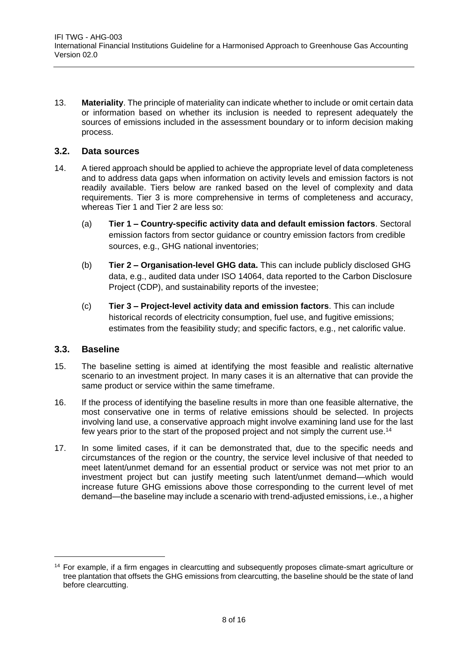13. **Materiality**. The principle of materiality can indicate whether to include or omit certain data or information based on whether its inclusion is needed to represent adequately the sources of emissions included in the assessment boundary or to inform decision making process.

#### <span id="page-7-0"></span>**3.2. Data sources**

- 14. A tiered approach should be applied to achieve the appropriate level of data completeness and to address data gaps when information on activity levels and emission factors is not readily available. Tiers below are ranked based on the level of complexity and data requirements. Tier 3 is more comprehensive in terms of completeness and accuracy, whereas Tier 1 and Tier 2 are less so:
	- (a) **Tier 1 – Country-specific activity data and default emission factors**. Sectoral emission factors from sector guidance or country emission factors from credible sources, e.g., GHG national inventories;
	- (b) **Tier 2 – Organisation-level GHG data.** This can include publicly disclosed GHG data, e.g., audited data under ISO 14064, data reported to the Carbon Disclosure Project (CDP), and sustainability reports of the investee;
	- (c) **Tier 3 – Project-level activity data and emission factors**. This can include historical records of electricity consumption, fuel use, and fugitive emissions; estimates from the feasibility study; and specific factors, e.g., net calorific value.

#### <span id="page-7-1"></span>**3.3. Baseline**

- 15. The baseline setting is aimed at identifying the most feasible and realistic alternative scenario to an investment project. In many cases it is an alternative that can provide the same product or service within the same timeframe.
- 16. If the process of identifying the baseline results in more than one feasible alternative, the most conservative one in terms of relative emissions should be selected. In projects involving land use, a conservative approach might involve examining land use for the last few years prior to the start of the proposed project and not simply the current use.<sup>14</sup>
- 17. In some limited cases, if it can be demonstrated that, due to the specific needs and circumstances of the region or the country, the service level inclusive of that needed to meet latent/unmet demand for an essential product or service was not met prior to an investment project but can justify meeting such latent/unmet demand—which would increase future GHG emissions above those corresponding to the current level of met demand—the baseline may include a scenario with trend-adjusted emissions, i.e., a higher

<sup>&</sup>lt;sup>14</sup> For example, if a firm engages in clearcutting and subsequently proposes climate-smart agriculture or tree plantation that offsets the GHG emissions from clearcutting, the baseline should be the state of land before clearcutting.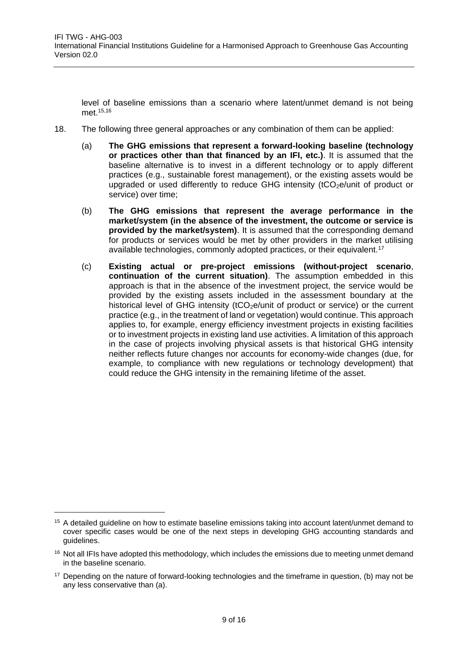level of baseline emissions than a scenario where latent/unmet demand is not being met.15,16

- 18. The following three general approaches or any combination of them can be applied:
	- (a) **The GHG emissions that represent a forward-looking baseline (technology or practices other than that financed by an IFI, etc.)**. It is assumed that the baseline alternative is to invest in a different technology or to apply different practices (e.g., sustainable forest management), or the existing assets would be upgraded or used differently to reduce GHG intensity  $(tCO<sub>2</sub>e/unit)$  of product or service) over time;
	- (b) **The GHG emissions that represent the average performance in the market/system (in the absence of the investment, the outcome or service is provided by the market/system)**. It is assumed that the corresponding demand for products or services would be met by other providers in the market utilising available technologies, commonly adopted practices, or their equivalent.<sup>17</sup>
	- (c) **Existing actual or pre-project emissions (without-project scenario**, **continuation of the current situation)**. The assumption embedded in this approach is that in the absence of the investment project, the service would be provided by the existing assets included in the assessment boundary at the historical level of GHG intensity  $(tCO<sub>2</sub>e/unit)$  of product or service) or the current practice (e.g., in the treatment of land or vegetation) would continue. This approach applies to, for example, energy efficiency investment projects in existing facilities or to investment projects in existing land use activities. A limitation of this approach in the case of projects involving physical assets is that historical GHG intensity neither reflects future changes nor accounts for economy-wide changes (due, for example, to compliance with new regulations or technology development) that could reduce the GHG intensity in the remaining lifetime of the asset.

<sup>&</sup>lt;sup>15</sup> A detailed guideline on how to estimate baseline emissions taking into account latent/unmet demand to cover specific cases would be one of the next steps in developing GHG accounting standards and guidelines.

<sup>&</sup>lt;sup>16</sup> Not all IFIs have adopted this methodology, which includes the emissions due to meeting unmet demand in the baseline scenario.

 $17$  Depending on the nature of forward-looking technologies and the timeframe in question, (b) may not be any less conservative than (a).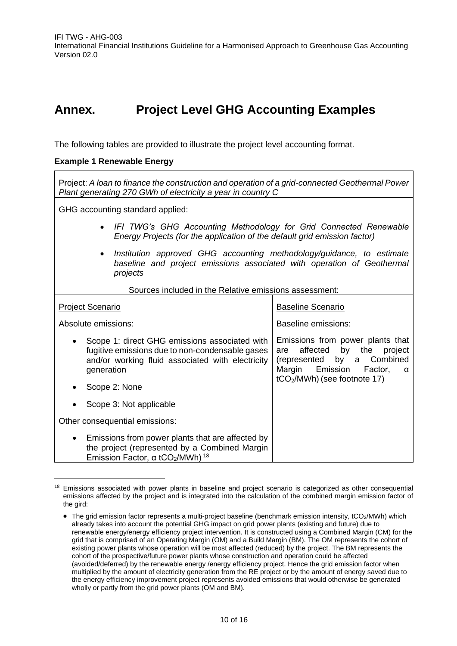### <span id="page-9-0"></span>**Annex. Project Level GHG Accounting Examples**

The following tables are provided to illustrate the project level accounting format.

#### **Example 1 Renewable Energy**

Project: *A loan to finance the construction and operation of a grid-connected Geothermal Power Plant generating 270 GWh of electricity a year in country C*

GHG accounting standard applied:

- *IFI TWG's GHG Accounting Methodology for Grid Connected Renewable Energy Projects (for the application of the default grid emission factor)*
- *Institution approved GHG accounting methodology/guidance, to estimate baseline and project emissions associated with operation of Geothermal projects*

| Sources included in the Relative emissions assessment:                                                                                                                    |                                                                                                                                                                    |  |
|---------------------------------------------------------------------------------------------------------------------------------------------------------------------------|--------------------------------------------------------------------------------------------------------------------------------------------------------------------|--|
| <b>Project Scenario</b>                                                                                                                                                   | <b>Baseline Scenario</b>                                                                                                                                           |  |
| Absolute emissions:                                                                                                                                                       | Baseline emissions:                                                                                                                                                |  |
| Scope 1: direct GHG emissions associated with<br>fugitive emissions due to non-condensable gases<br>and/or working fluid associated with electricity<br>generation        | Emissions from power plants that<br>affected by the project<br>are<br>(represented by a Combined<br>Margin Emission Factor,<br>α<br>$tCO2/MWh$ ) (see footnote 17) |  |
| Scope 2: None                                                                                                                                                             |                                                                                                                                                                    |  |
| Scope 3: Not applicable                                                                                                                                                   |                                                                                                                                                                    |  |
| Other consequential emissions:                                                                                                                                            |                                                                                                                                                                    |  |
| Emissions from power plants that are affected by<br>$\bullet$<br>the project (represented by a Combined Margin<br>Emission Factor, a tCO <sub>2</sub> /MWh) <sup>18</sup> |                                                                                                                                                                    |  |

<sup>&</sup>lt;sup>18</sup> Emissions associated with power plants in baseline and project scenario is categorized as other consequential emissions affected by the project and is integrated into the calculation of the combined margin emission factor of the gird:

<sup>•</sup> The grid emission factor represents a multi-project baseline (benchmark emission intensity, tCO<sub>2</sub>/MWh) which already takes into account the potential GHG impact on grid power plants (existing and future) due to renewable energy/energy efficiency project intervention. It is constructed using a Combined Margin (CM) for the grid that is comprised of an Operating Margin (OM) and a Build Margin (BM). The OM represents the cohort of existing power plants whose operation will be most affected (reduced) by the project. The BM represents the cohort of the prospective/future power plants whose construction and operation could be affected (avoided/deferred) by the renewable energy /energy efficiency project. Hence the grid emission factor when multiplied by the amount of electricity generation from the RE project or by the amount of energy saved due to the energy efficiency improvement project represents avoided emissions that would otherwise be generated wholly or partly from the grid power plants (OM and BM).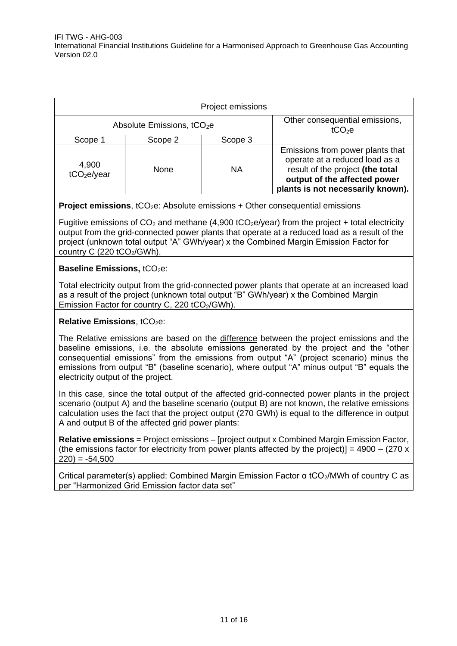| Project emissions                      |         |           |                                                                                                                                                                             |
|----------------------------------------|---------|-----------|-----------------------------------------------------------------------------------------------------------------------------------------------------------------------------|
| Absolute Emissions, tCO <sub>2</sub> e |         |           | Other consequential emissions,<br>tCO <sub>2</sub> e                                                                                                                        |
| Scope 1                                | Scope 2 | Scope 3   |                                                                                                                                                                             |
| 4,900<br>tCO <sub>2</sub> e/year       | None    | <b>NA</b> | Emissions from power plants that<br>operate at a reduced load as a<br>result of the project (the total<br>output of the affected power<br>plants is not necessarily known). |

**Project emissions**, tCO<sub>2</sub>e: Absolute emissions + Other consequential emissions

Fugitive emissions of  $CO<sub>2</sub>$  and methane (4,900 tCO<sub>2</sub>e/year) from the project + total electricity output from the grid-connected power plants that operate at a reduced load as a result of the project (unknown total output "A" GWh/year) x the Combined Margin Emission Factor for country C  $(220 \text{ tCO}_2/\text{GWh})$ .

#### **Baseline Emissions, tCO<sub>2</sub>e:**

Total electricity output from the grid-connected power plants that operate at an increased load as a result of the project (unknown total output "B" GWh/year) x the Combined Margin Emission Factor for country C, 220 tCO<sub>2</sub>/GWh).

#### **Relative Emissions**, tCO<sub>2</sub>e:

The Relative emissions are based on the difference between the project emissions and the baseline emissions, i.e. the absolute emissions generated by the project and the "other consequential emissions" from the emissions from output "A" (project scenario) minus the emissions from output "B" (baseline scenario), where output "A" minus output "B" equals the electricity output of the project.

In this case, since the total output of the affected grid-connected power plants in the project scenario (output A) and the baseline scenario (output B) are not known, the relative emissions calculation uses the fact that the project output (270 GWh) is equal to the difference in output A and output B of the affected grid power plants:

**Relative emissions** = Project emissions – [project output x Combined Margin Emission Factor, (the emissions factor for electricity from power plants affected by the project)] =  $4900 - (270 \text{ x})$  $220$ ) =  $-54,500$ 

Critical parameter(s) applied: Combined Margin Emission Factor α tCO<sub>2</sub>/MWh of country C as per "Harmonized Grid Emission factor data set"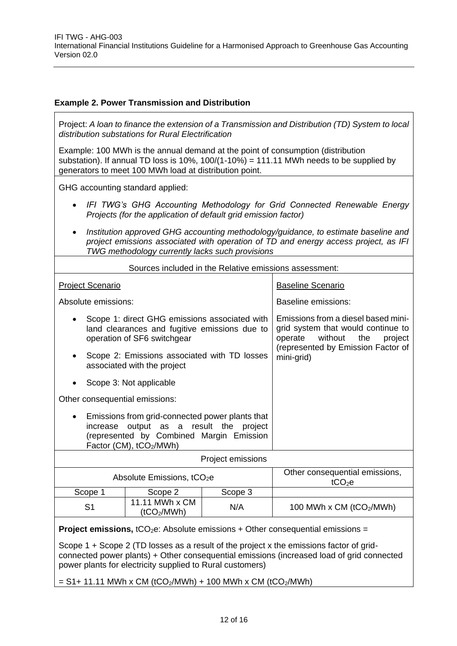#### **Example 2. Power Transmission and Distribution**

Project: *A loan to finance the extension of a Transmission and Distribution (TD) System to local distribution substations for Rural Electrification*

Example: 100 MWh is the annual demand at the point of consumption (distribution substation). If annual TD loss is 10%, 100/(1-10%) = 111.11 MWh needs to be supplied by generators to meet 100 MWh load at distribution point.

GHG accounting standard applied:

- *IFI TWG's GHG Accounting Methodology for Grid Connected Renewable Energy Projects (for the application of default grid emission factor)*
- *Institution approved GHG accounting methodology/guidance, to estimate baseline and project emissions associated with operation of TD and energy access project, as IFI TWG methodology currently lacks such provisions*

| Sources included in the Relative emissions assessment:                                                                                                                                                                                            |                                                                                                                               |                                                                                                                   |                                                  |
|---------------------------------------------------------------------------------------------------------------------------------------------------------------------------------------------------------------------------------------------------|-------------------------------------------------------------------------------------------------------------------------------|-------------------------------------------------------------------------------------------------------------------|--------------------------------------------------|
| <b>Project Scenario</b>                                                                                                                                                                                                                           |                                                                                                                               |                                                                                                                   | <b>Baseline Scenario</b>                         |
| Absolute emissions:                                                                                                                                                                                                                               |                                                                                                                               |                                                                                                                   | <b>Baseline emissions:</b>                       |
|                                                                                                                                                                                                                                                   | Scope 1: direct GHG emissions associated with<br>land clearances and fugitive emissions due to<br>operation of SF6 switchgear | Emissions from a diesel based mini-<br>grid system that would continue to<br>without<br>the<br>operate<br>project |                                                  |
| Scope 2: Emissions associated with TD losses<br>associated with the project                                                                                                                                                                       |                                                                                                                               |                                                                                                                   | (represented by Emission Factor of<br>mini-grid) |
|                                                                                                                                                                                                                                                   | Scope 3: Not applicable                                                                                                       |                                                                                                                   |                                                  |
| Other consequential emissions:                                                                                                                                                                                                                    |                                                                                                                               |                                                                                                                   |                                                  |
| Emissions from grid-connected power plants that<br>output as a result the<br>increase<br>project<br>(represented by Combined Margin Emission<br>Factor (CM), tCO <sub>2</sub> /MWh)                                                               |                                                                                                                               |                                                                                                                   |                                                  |
| Project emissions                                                                                                                                                                                                                                 |                                                                                                                               |                                                                                                                   |                                                  |
|                                                                                                                                                                                                                                                   | Absolute Emissions, tCO <sub>2</sub> e                                                                                        | Other consequential emissions,<br>tCO <sub>2</sub> e                                                              |                                                  |
| Scope 1                                                                                                                                                                                                                                           | Scope 2                                                                                                                       | Scope 3                                                                                                           |                                                  |
| S <sub>1</sub>                                                                                                                                                                                                                                    | 11.11 MWh x CM<br>(tCO <sub>2</sub> /MWh)                                                                                     | N/A                                                                                                               | 100 MWh x CM (tCO2/MWh)                          |
| <b>Project emissions, </b> tCO <sub>2</sub> e: Absolute emissions + Other consequential emissions =                                                                                                                                               |                                                                                                                               |                                                                                                                   |                                                  |
| Scope 1 + Scope 2 (TD losses as a result of the project x the emissions factor of grid-<br>connected power plants) + Other consequential emissions (increased load of grid connected<br>power plants for electricity supplied to Rural customers) |                                                                                                                               |                                                                                                                   |                                                  |

 $= S1 + 11.11$  MWh x CM (tCO<sub>2</sub>/MWh) + 100 MWh x CM (tCO<sub>2</sub>/MWh)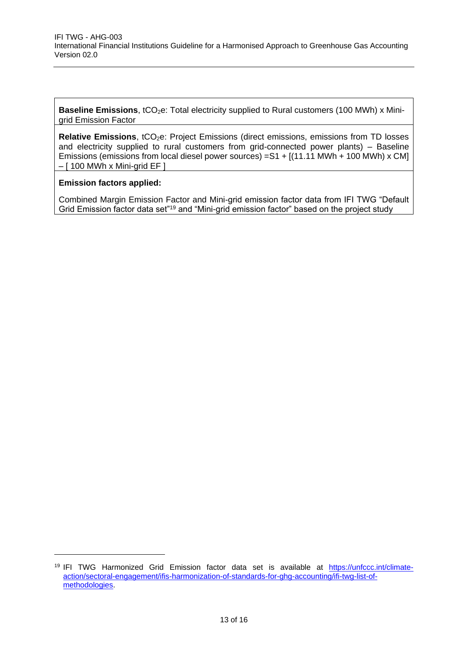**Baseline Emissions**, tCO<sub>2</sub>e: Total electricity supplied to Rural customers (100 MWh) x Minigrid Emission Factor

**Relative Emissions**, tCO<sub>2</sub>e: Project Emissions (direct emissions, emissions from TD losses and electricity supplied to rural customers from grid-connected power plants) – Baseline Emissions (emissions from local diesel power sources) =S1 + [(11.11 MWh + 100 MWh) x CM] – [ 100 MWh x Mini-grid EF ]

#### **Emission factors applied:**

-

Combined Margin Emission Factor and Mini-grid emission factor data from IFI TWG "Default Grid Emission factor data set"<sup>19</sup> and "Mini-grid emission factor" based on the project study

<sup>19</sup> IFI TWG Harmonized Grid Emission factor data set is available at [https://unfccc.int/climate](https://unfccc.int/climate-action/sectoral-engagement/ifis-harmonization-of-standards-for-ghg-accounting/ifi-twg-list-of-methodologies)[action/sectoral-engagement/ifis-harmonization-of-standards-for-ghg-accounting/ifi-twg-list-of](https://unfccc.int/climate-action/sectoral-engagement/ifis-harmonization-of-standards-for-ghg-accounting/ifi-twg-list-of-methodologies)[methodologies.](https://unfccc.int/climate-action/sectoral-engagement/ifis-harmonization-of-standards-for-ghg-accounting/ifi-twg-list-of-methodologies)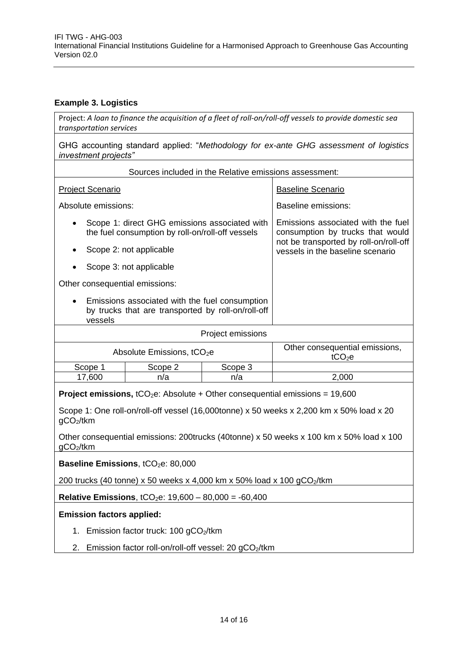#### **Example 3. Logistics**

Project: *A loan to finance the acquisition of a fleet of roll-on/roll-off vessels to provide domestic sea transportation services*

GHG accounting standard applied: "*Methodology for ex-ante GHG assessment of logistics investment projects"*

| Sources included in the Relative emissions assessment:                                                                                                                                                                                                                                                                                      |                                        |                                  |                                                                                                                  |
|---------------------------------------------------------------------------------------------------------------------------------------------------------------------------------------------------------------------------------------------------------------------------------------------------------------------------------------------|----------------------------------------|----------------------------------|------------------------------------------------------------------------------------------------------------------|
| <b>Project Scenario</b>                                                                                                                                                                                                                                                                                                                     |                                        | <b>Baseline Scenario</b>         |                                                                                                                  |
| Absolute emissions:                                                                                                                                                                                                                                                                                                                         |                                        |                                  | <b>Baseline emissions:</b>                                                                                       |
| Scope 1: direct GHG emissions associated with<br>the fuel consumption by roll-on/roll-off vessels                                                                                                                                                                                                                                           |                                        |                                  | Emissions associated with the fuel<br>consumption by trucks that would<br>not be transported by roll-on/roll-off |
|                                                                                                                                                                                                                                                                                                                                             | Scope 2: not applicable                | vessels in the baseline scenario |                                                                                                                  |
|                                                                                                                                                                                                                                                                                                                                             | Scope 3: not applicable                |                                  |                                                                                                                  |
| Other consequential emissions:                                                                                                                                                                                                                                                                                                              |                                        |                                  |                                                                                                                  |
| Emissions associated with the fuel consumption<br>by trucks that are transported by roll-on/roll-off<br>vessels                                                                                                                                                                                                                             |                                        |                                  |                                                                                                                  |
|                                                                                                                                                                                                                                                                                                                                             |                                        | Project emissions                |                                                                                                                  |
|                                                                                                                                                                                                                                                                                                                                             | Absolute Emissions, tCO <sub>2</sub> e |                                  | Other consequential emissions,<br>tCO <sub>2</sub> e                                                             |
| Scope 1                                                                                                                                                                                                                                                                                                                                     | Scope 2                                | Scope 3                          |                                                                                                                  |
| 17,600                                                                                                                                                                                                                                                                                                                                      | n/a                                    | n/a                              | 2,000                                                                                                            |
| <b>Project emissions, </b> tCO <sub>2</sub> e: Absolute + Other consequential emissions = $19,600$<br>Scope 1: One roll-on/roll-off vessel (16,000tonne) x 50 weeks x 2,200 km x 50% load x 20<br>gCO <sub>2</sub> /tkm<br>Other consequential emissions: 200trucks (40tonne) x 50 weeks x 100 km x 50% load x 100<br>gCO <sub>2</sub> /tkm |                                        |                                  |                                                                                                                  |
| Baseline Emissions, tCO <sub>2</sub> e: 80,000                                                                                                                                                                                                                                                                                              |                                        |                                  |                                                                                                                  |
| 200 trucks (40 tonne) x 50 weeks x 4,000 km x 50% load x 100 $gCO2/k$ m                                                                                                                                                                                                                                                                     |                                        |                                  |                                                                                                                  |
| <b>Relative Emissions, tCO<sub>2</sub>e: 19,600 - 80,000 = -60,400</b>                                                                                                                                                                                                                                                                      |                                        |                                  |                                                                                                                  |
| <b>Emission factors applied:</b>                                                                                                                                                                                                                                                                                                            |                                        |                                  |                                                                                                                  |
| 1. Emission factor truck: 100 gCO <sub>2</sub> /tkm                                                                                                                                                                                                                                                                                         |                                        |                                  |                                                                                                                  |
| Emission factor roll-on/roll-off vessel: 20 gCO2/tkm<br>2.                                                                                                                                                                                                                                                                                  |                                        |                                  |                                                                                                                  |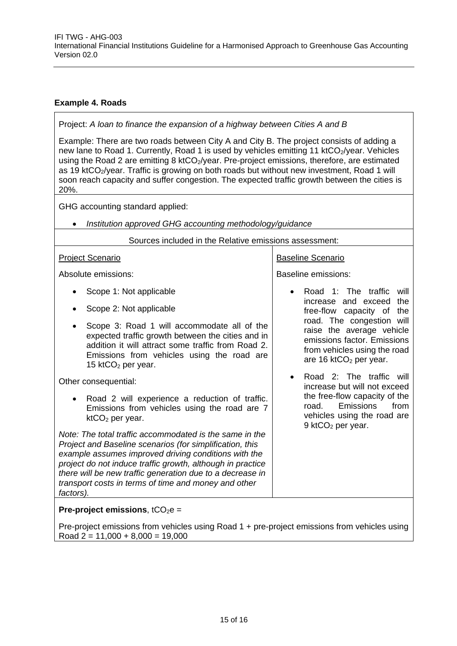#### **Example 4. Roads**

Project: *A loan to finance the expansion of a highway between Cities A and B*

Example: There are two roads between City A and City B. The project consists of adding a new lane to Road 1. Currently, Road 1 is used by vehicles emitting 11 ktCO<sub>2</sub>/year. Vehicles using the Road 2 are emitting 8 ktCO<sub>2</sub>/year. Pre-project emissions, therefore, are estimated as 19 ktCO<sub>2</sub>/year. Traffic is growing on both roads but without new investment, Road 1 will soon reach capacity and suffer congestion. The expected traffic growth between the cities is 20%.

GHG accounting standard applied:

• *Institution approved GHG accounting methodology/guidance*

Sources included in the Relative emissions assessment:

#### Project Scenario Absolute emissions: • Scope 1: Not applicable • Scope 2: Not applicable • Scope 3: Road 1 will accommodate all of the expected traffic growth between the cities and in addition it will attract some traffic from Road 2. Emissions from vehicles using the road are 15 kt $CO<sub>2</sub>$  per year. Other consequential: • Road 2 will experience a reduction of traffic. Emissions from vehicles using the road are 7  $ktCO<sub>2</sub>$  per year. *Note: The total traffic accommodated is the same in the Project and Baseline scenarios (for simplification, this example assumes improved driving conditions with the project do not induce traffic growth, although in practice there will be new traffic generation due to a decrease in transport costs in terms of time and money and other factors).* Baseline Scenario Baseline emissions: • Road 1: The traffic will increase and exceed the free-flow capacity of the road. The congestion will raise the average vehicle emissions factor. Emissions from vehicles using the road are 16 ktCO<sub>2</sub> per year. • Road 2: The traffic will increase but will not exceed the free-flow capacity of the road. Emissions from vehicles using the road are 9 ktCO<sub>2</sub> per year. **Pre-project emissions.** tCO<sub>2</sub>e =

Pre-project emissions from vehicles using Road 1 + pre-project emissions from vehicles using  $Read 2 = 11,000 + 8,000 = 19,000$